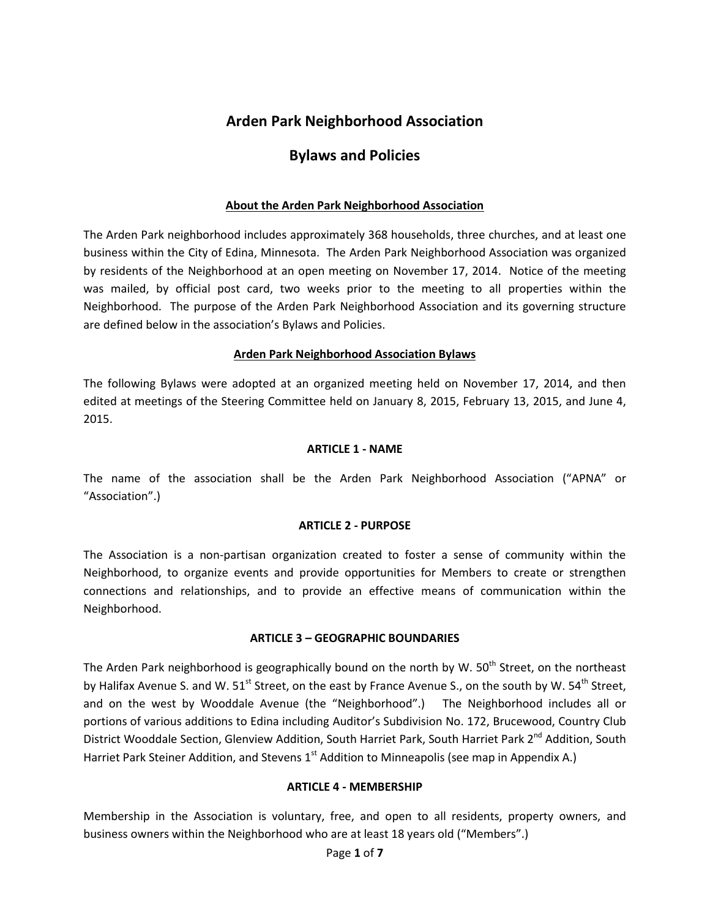# **Arden Park Neighborhood Association**

# **Bylaws and Policies**

### **About the Arden Park Neighborhood Association**

The Arden Park neighborhood includes approximately 368 households, three churches, and at least one business within the City of Edina, Minnesota. The Arden Park Neighborhood Association was organized by residents of the Neighborhood at an open meeting on November 17, 2014. Notice of the meeting was mailed, by official post card, two weeks prior to the meeting to all properties within the Neighborhood. The purpose of the Arden Park Neighborhood Association and its governing structure are defined below in the association's Bylaws and Policies.

### **Arden Park Neighborhood Association Bylaws**

The following Bylaws were adopted at an organized meeting held on November 17, 2014, and then edited at meetings of the Steering Committee held on January 8, 2015, February 13, 2015, and June 4, 2015.

#### **ARTICLE 1 - NAME**

The name of the association shall be the Arden Park Neighborhood Association ("APNA" or "Association".)

#### **ARTICLE 2 - PURPOSE**

The Association is a non-partisan organization created to foster a sense of community within the Neighborhood, to organize events and provide opportunities for Members to create or strengthen connections and relationships, and to provide an effective means of communication within the Neighborhood.

#### **ARTICLE 3 – GEOGRAPHIC BOUNDARIES**

The Arden Park neighborhood is geographically bound on the north by W. 50<sup>th</sup> Street, on the northeast by Halifax Avenue S. and W. 51<sup>st</sup> Street, on the east by France Avenue S., on the south by W. 54<sup>th</sup> Street, and on the west by Wooddale Avenue (the "Neighborhood".) The Neighborhood includes all or portions of various additions to Edina including Auditor's Subdivision No. 172, Brucewood, Country Club District Wooddale Section, Glenview Addition, South Harriet Park, South Harriet Park 2<sup>nd</sup> Addition, South Harriet Park Steiner Addition, and Stevens 1<sup>st</sup> Addition to Minneapolis (see map in Appendix A.)

#### **ARTICLE 4 - MEMBERSHIP**

Membership in the Association is voluntary, free, and open to all residents, property owners, and business owners within the Neighborhood who are at least 18 years old ("Members".)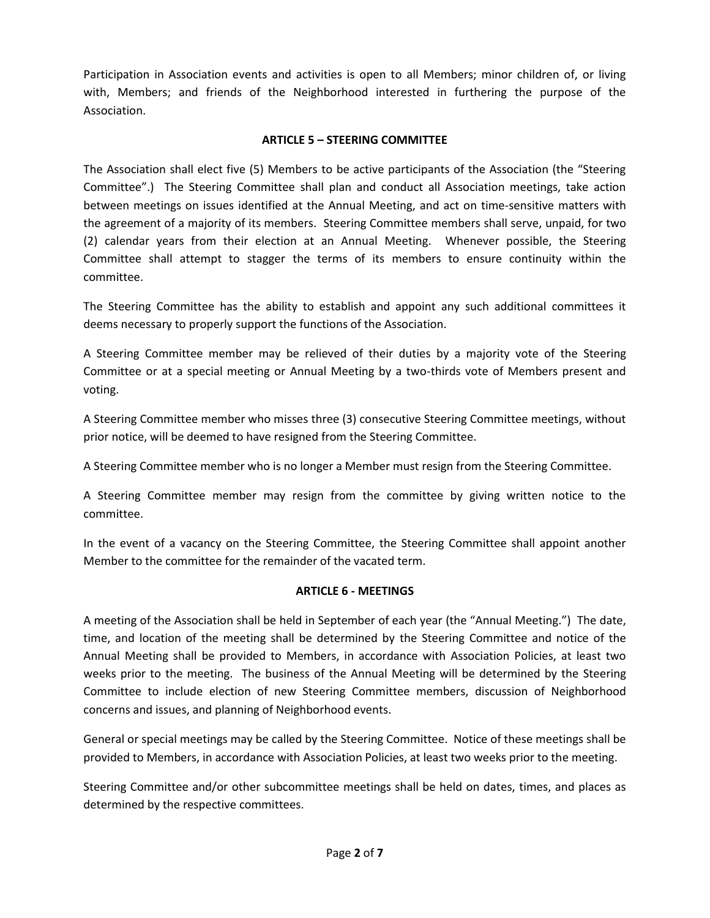Participation in Association events and activities is open to all Members; minor children of, or living with, Members; and friends of the Neighborhood interested in furthering the purpose of the Association.

## **ARTICLE 5 – STEERING COMMITTEE**

The Association shall elect five (5) Members to be active participants of the Association (the "Steering Committee".) The Steering Committee shall plan and conduct all Association meetings, take action between meetings on issues identified at the Annual Meeting, and act on time-sensitive matters with the agreement of a majority of its members. Steering Committee members shall serve, unpaid, for two (2) calendar years from their election at an Annual Meeting. Whenever possible, the Steering Committee shall attempt to stagger the terms of its members to ensure continuity within the committee.

The Steering Committee has the ability to establish and appoint any such additional committees it deems necessary to properly support the functions of the Association.

A Steering Committee member may be relieved of their duties by a majority vote of the Steering Committee or at a special meeting or Annual Meeting by a two-thirds vote of Members present and voting.

A Steering Committee member who misses three (3) consecutive Steering Committee meetings, without prior notice, will be deemed to have resigned from the Steering Committee.

A Steering Committee member who is no longer a Member must resign from the Steering Committee.

A Steering Committee member may resign from the committee by giving written notice to the committee.

In the event of a vacancy on the Steering Committee, the Steering Committee shall appoint another Member to the committee for the remainder of the vacated term.

## **ARTICLE 6 - MEETINGS**

A meeting of the Association shall be held in September of each year (the "Annual Meeting.") The date, time, and location of the meeting shall be determined by the Steering Committee and notice of the Annual Meeting shall be provided to Members, in accordance with Association Policies, at least two weeks prior to the meeting. The business of the Annual Meeting will be determined by the Steering Committee to include election of new Steering Committee members, discussion of Neighborhood concerns and issues, and planning of Neighborhood events.

General or special meetings may be called by the Steering Committee. Notice of these meetings shall be provided to Members, in accordance with Association Policies, at least two weeks prior to the meeting.

Steering Committee and/or other subcommittee meetings shall be held on dates, times, and places as determined by the respective committees.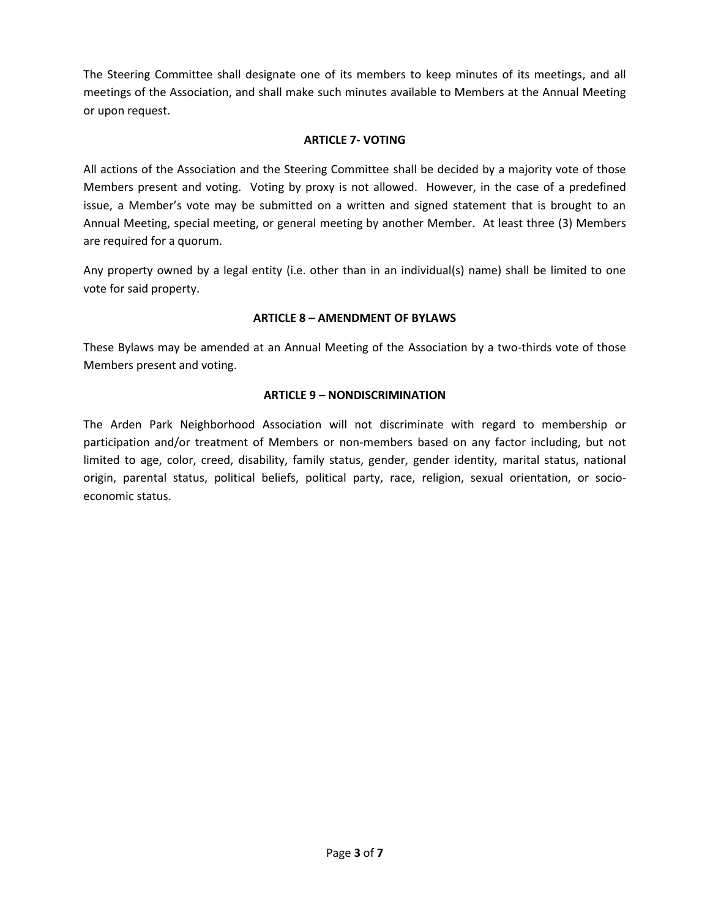The Steering Committee shall designate one of its members to keep minutes of its meetings, and all meetings of the Association, and shall make such minutes available to Members at the Annual Meeting or upon request.

## **ARTICLE 7- VOTING**

All actions of the Association and the Steering Committee shall be decided by a majority vote of those Members present and voting. Voting by proxy is not allowed. However, in the case of a predefined issue, a Member's vote may be submitted on a written and signed statement that is brought to an Annual Meeting, special meeting, or general meeting by another Member. At least three (3) Members are required for a quorum.

Any property owned by a legal entity (i.e. other than in an individual(s) name) shall be limited to one vote for said property.

## **ARTICLE 8 – AMENDMENT OF BYLAWS**

These Bylaws may be amended at an Annual Meeting of the Association by a two-thirds vote of those Members present and voting.

### **ARTICLE 9 – NONDISCRIMINATION**

The Arden Park Neighborhood Association will not discriminate with regard to membership or participation and/or treatment of Members or non-members based on any factor including, but not limited to age, color, creed, disability, family status, gender, gender identity, marital status, national origin, parental status, political beliefs, political party, race, religion, sexual orientation, or socioeconomic status.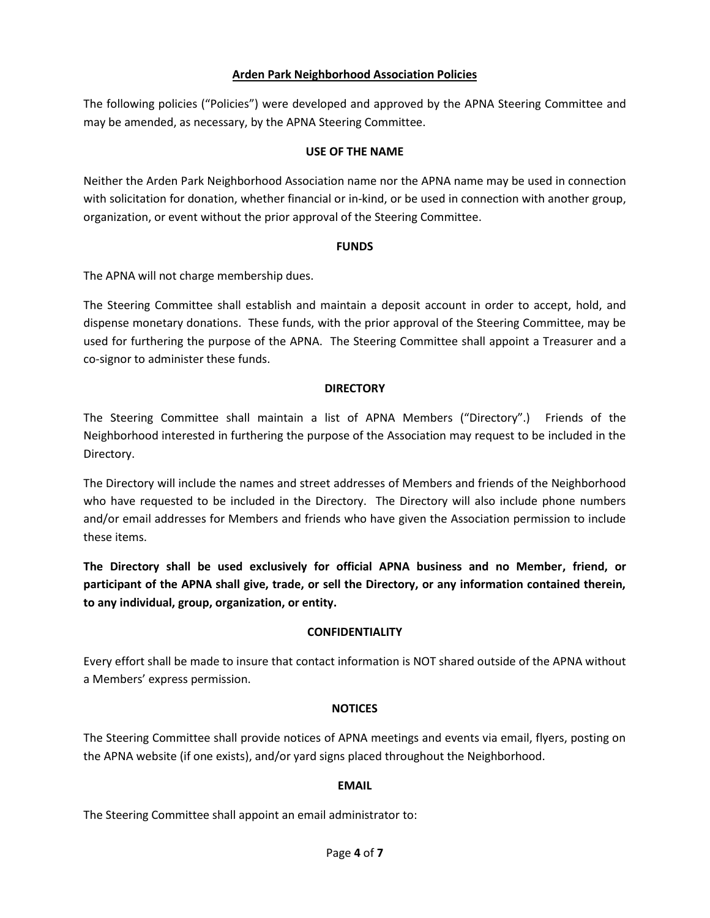### **Arden Park Neighborhood Association Policies**

The following policies ("Policies") were developed and approved by the APNA Steering Committee and may be amended, as necessary, by the APNA Steering Committee.

#### **USE OF THE NAME**

Neither the Arden Park Neighborhood Association name nor the APNA name may be used in connection with solicitation for donation, whether financial or in-kind, or be used in connection with another group, organization, or event without the prior approval of the Steering Committee.

#### **FUNDS**

The APNA will not charge membership dues.

The Steering Committee shall establish and maintain a deposit account in order to accept, hold, and dispense monetary donations. These funds, with the prior approval of the Steering Committee, may be used for furthering the purpose of the APNA. The Steering Committee shall appoint a Treasurer and a co-signor to administer these funds.

#### **DIRECTORY**

The Steering Committee shall maintain a list of APNA Members ("Directory".) Friends of the Neighborhood interested in furthering the purpose of the Association may request to be included in the Directory.

The Directory will include the names and street addresses of Members and friends of the Neighborhood who have requested to be included in the Directory. The Directory will also include phone numbers and/or email addresses for Members and friends who have given the Association permission to include these items.

**The Directory shall be used exclusively for official APNA business and no Member, friend, or participant of the APNA shall give, trade, or sell the Directory, or any information contained therein, to any individual, group, organization, or entity.**

#### **CONFIDENTIALITY**

Every effort shall be made to insure that contact information is NOT shared outside of the APNA without a Members' express permission.

## **NOTICES**

The Steering Committee shall provide notices of APNA meetings and events via email, flyers, posting on the APNA website (if one exists), and/or yard signs placed throughout the Neighborhood.

#### **EMAIL**

The Steering Committee shall appoint an email administrator to: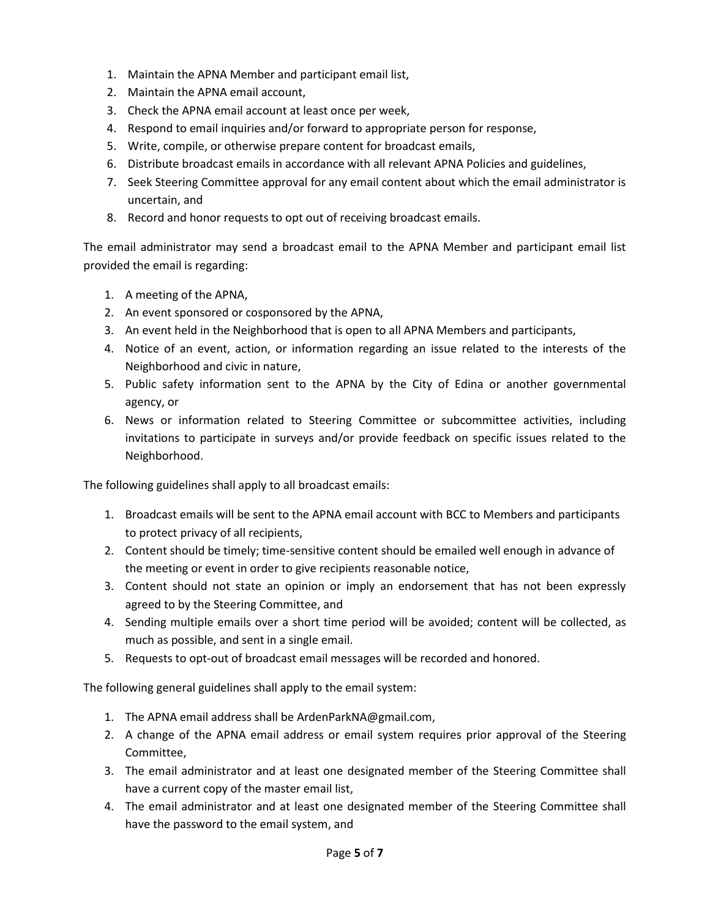- 1. Maintain the APNA Member and participant email list,
- 2. Maintain the APNA email account,
- 3. Check the APNA email account at least once per week,
- 4. Respond to email inquiries and/or forward to appropriate person for response,
- 5. Write, compile, or otherwise prepare content for broadcast emails,
- 6. Distribute broadcast emails in accordance with all relevant APNA Policies and guidelines,
- 7. Seek Steering Committee approval for any email content about which the email administrator is uncertain, and
- 8. Record and honor requests to opt out of receiving broadcast emails.

The email administrator may send a broadcast email to the APNA Member and participant email list provided the email is regarding:

- 1. A meeting of the APNA,
- 2. An event sponsored or cosponsored by the APNA,
- 3. An event held in the Neighborhood that is open to all APNA Members and participants,
- 4. Notice of an event, action, or information regarding an issue related to the interests of the Neighborhood and civic in nature,
- 5. Public safety information sent to the APNA by the City of Edina or another governmental agency, or
- 6. News or information related to Steering Committee or subcommittee activities, including invitations to participate in surveys and/or provide feedback on specific issues related to the Neighborhood.

The following guidelines shall apply to all broadcast emails:

- 1. Broadcast emails will be sent to the APNA email account with BCC to Members and participants to protect privacy of all recipients,
- 2. Content should be timely; time-sensitive content should be emailed well enough in advance of the meeting or event in order to give recipients reasonable notice,
- 3. Content should not state an opinion or imply an endorsement that has not been expressly agreed to by the Steering Committee, and
- 4. Sending multiple emails over a short time period will be avoided; content will be collected, as much as possible, and sent in a single email.
- 5. Requests to opt-out of broadcast email messages will be recorded and honored.

The following general guidelines shall apply to the email system:

- 1. The APNA email address shall be [ArdenParkNA@gmail.com,](mailto:rdenParkNA@gmail.com)
- 2. A change of the APNA email address or email system requires prior approval of the Steering Committee,
- 3. The email administrator and at least one designated member of the Steering Committee shall have a current copy of the master email list,
- 4. The email administrator and at least one designated member of the Steering Committee shall have the password to the email system, and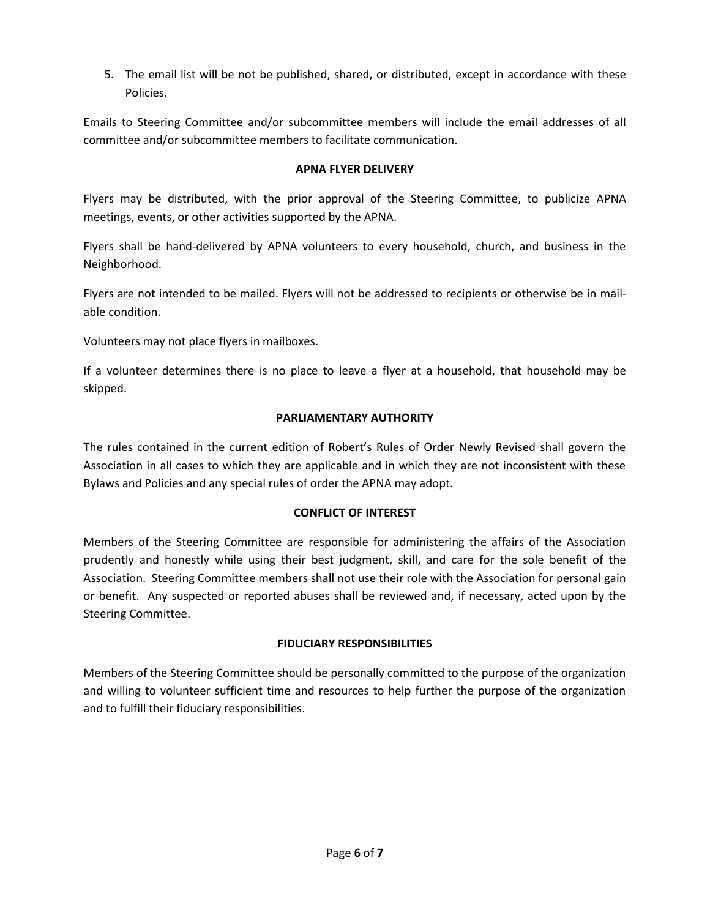5. The email list will be not be published, shared, or distributed, except in accordance with these Policies.

Emails to Steering Committee and/or subcommittee members will include the email addresses of all committee and/or subcommittee members to facilitate communication.

### **APNA FLYER DELIVERY**

Flyers may be distributed, with the prior approval of the Steering Committee, to publicize APNA meetings, events, or other activities supported by the APNA.

Flyers shall be hand-delivered by APNA volunteers to every household, church, and business in the Neighborhood.

Flyers are not intended to be mailed. Flyers will not be addressed to recipients or otherwise be in mailable condition.

Volunteers may not place flyers in mailboxes.

If a volunteer determines there is no place to leave a flyer at a household, that household may be skipped.

#### **PARLIAMENTARY AUTHORITY**

The rules contained in the current edition of Robert's Rules of Order Newly Revised shall govern the Association in all cases to which they are applicable and in which they are not inconsistent with these Bylaws and Policies and any special rules of order the APNA may adopt.

#### **CONFLICT OF INTEREST**

Members of the Steering Committee are responsible for administering the affairs of the Association prudently and honestly while using their best judgment, skill, and care for the sole benefit of the Association. Steering Committee members shall not use their role with the Association for personal gain or benefit. Any suspected or reported abuses shall be reviewed and, if necessary, acted upon by the Steering Committee.

## **FIDUCIARY RESPONSIBILITIES**

Members of the Steering Committee should be personally committed to the purpose of the organization and willing to volunteer sufficient time and resources to help further the purpose of the organization and to fulfill their fiduciary responsibilities.